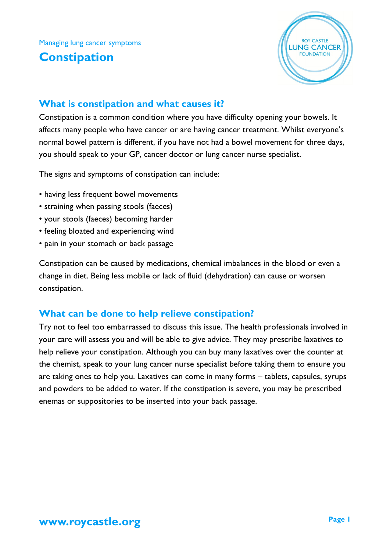Managing lung cancer symptoms **Constipation**



## **What is constipation and what causes it?**

Constipation is a common condition where you have difficulty opening your bowels. It affects many people who have cancer or are having cancer treatment. Whilst everyone's normal bowel pattern is different, if you have not had a bowel movement for three days, you should speak to your GP, cancer doctor or lung cancer nurse specialist.

The signs and symptoms of constipation can include:

- having less frequent bowel movements
- straining when passing stools (faeces)
- your stools (faeces) becoming harder
- feeling bloated and experiencing wind
- pain in your stomach or back passage

Constipation can be caused by medications, chemical imbalances in the blood or even a change in diet. Being less mobile or lack of fluid (dehydration) can cause or worsen constipation.

# **What can be done to help relieve constipation?**

Try not to feel too embarrassed to discuss this issue. The health professionals involved in your care will assess you and will be able to give advice. They may prescribe laxatives to help relieve your constipation. Although you can buy many laxatives over the counter at the chemist, speak to your lung cancer nurse specialist before taking them to ensure you are taking ones to help you. Laxatives can come in many forms – tablets, capsules, syrups and powders to be added to water. If the constipation is severe, you may be prescribed enemas or suppositories to be inserted into your back passage.